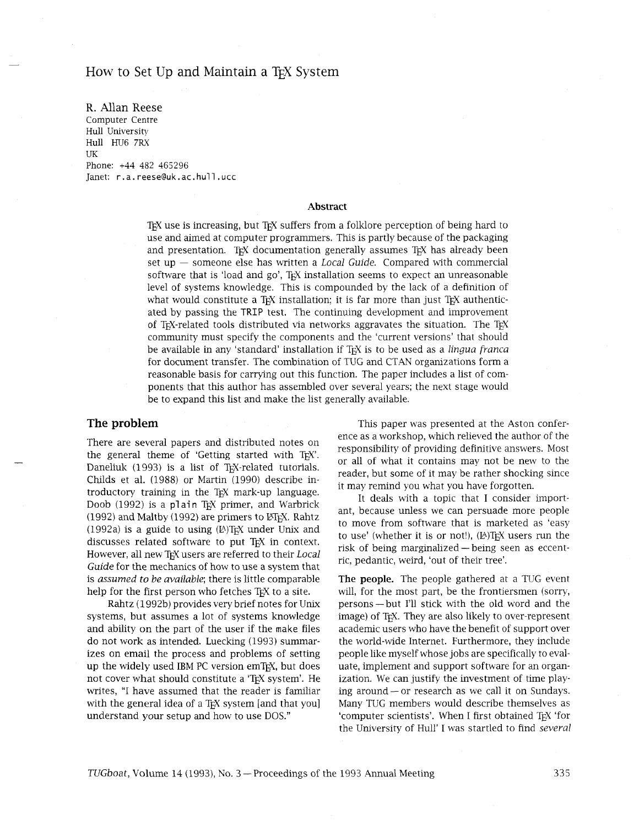# How to Set Up and Maintain a T<sub>F</sub>X System

R. Allan Reese Computer Centre Hull University Hull HU6 **7RX**  UK Phone: +44 482 465296 Janet: r . **a. reeseeuk .ac.** hull . **ucc** 

#### **Abstract**

TEX use is increasing, but TEX suffers from a folklore perception of being hard to use and aimed at computer programmers. This is partly because of the packaging and presentation. TEX documentation generally assumes TEX has already been set  $up$  — someone else has written a *Local Guide*. Compared with commercial software that is 'load and go', TEX installation seems to expect an unreasonable level of systems knowledge. This is compounded by the lack of a definition of what would constitute a  $T_F X$  installation; it is far more than just  $T_F X$  authenticated by passing the TRIP test. The continuing development and improvement of T<sub>EX</sub>-related tools distributed via networks aggravates the situation. The T<sub>EX</sub> community must specify the components and the 'current versions' that should be available in any 'standard' installation if TEX is to be used as a *lingua franca*  for document transfer. The combination of TUG and CTAN organizations form a reasonable basis for carrying out this function. The paper includes a list of components that this author has assembled over several years; the next stage would be to expand this list and make the list generally available.

### **The problem**

There are several papers and distributed notes on the general theme of 'Getting started with TFX'. Daneliuk (1993) is a list of TEX-related tutorials. Childs et al. (1988) or Martin (1990) describe introductory training in the TEX mark-up language. Doob (1992) is a plain TEX primer, and Warbrick (1992) and Maltby (1992) are primers to LHEX. Rahtz (1992a) is a guide to using  $(A)$ T<sub>F</sub>X under Unix and discusses related software to put T<sub>F</sub>X in context. However, all new TFX users are referred to their Local Guide for the mechanics of how to use a system that is *assumed* to *be available;* there is little comparable help for the first person who fetches TEX to a site.

Rahtz (1992b) provides very brief notes for Unix systems, but assumes a lot of systems knowledge and ability on the part of the user if the make files do not work as intended. Luecking (1993) sumrnarizes on email the process and problems of setting up the widely used IBM PC version emTFX, but does not cover what should constitute a 'TEX system'. He writes, "I have assumed that the reader is familiar with the general idea of a T<sub>EX</sub> system [and that you] understand your setup and how to use DOS."

This paper was presented at the Aston conference as a workshop, which relieved the author of the responsibility of providing definitive answers. Most or all of what it contains may not be new to the reader, but some of it may be rather shocking since it may remind you what you have forgotten.

It deals with a topic that I consider important, because unless we can persuade more people to move from software that is marketed as 'easy to use' (whether it is or not!), (LA)TEX users run the risk of being marginalized — being seen as eccentric, pedantic, weird, 'out of their tree'.

**The people.** The people gathered at a TUG event will, for the most part, be the frontiersmen (sorry, persons-but 1'11 stick with the old word and the image) of TFX. They are also likely to over-represent academic users who have the benefit of support over the world-wide Internet. Furthermore, they include people like myself whose jobs are specifically to evaluate, implement and support software for an organization. We can justify the investment of time play-ing around - or research as we call it on Sundays. Many TUG members would describe themselves as 'computer scientists'. When I first obtained TEX 'for the University of Hull' I was startled to find *several*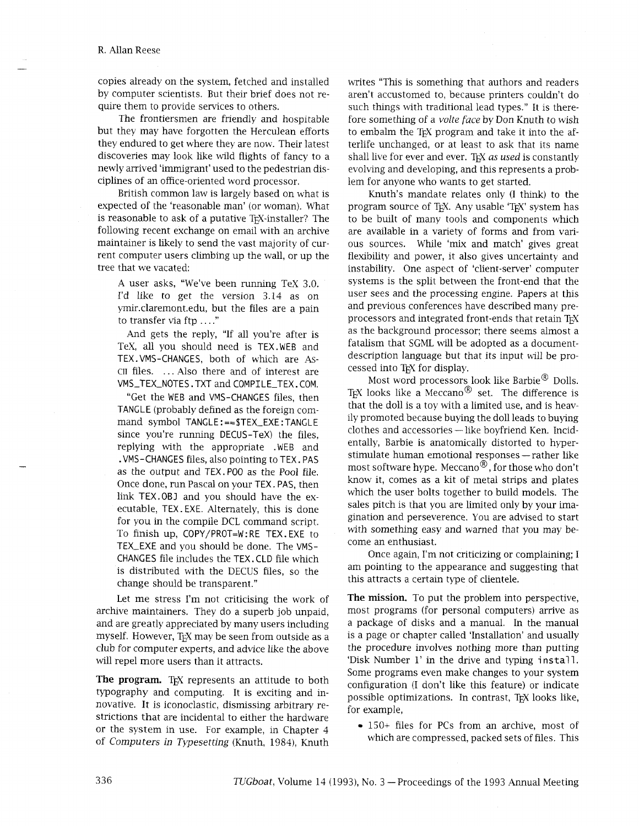copies already on the system, fetched and installed by computer scientists. But their brief does not require them to provide services to others.

The frontiersmen are friendly and hospitable but they may have forgotten the Herculean efforts they endured to get where they are now. Their latest discoveries may look like wild flights of fancy to a newly arrived 'immigrant' used to the pedestrian disciplines of an office-oriented word processor.

British common law is largely based on what is expected of the 'reasonable man' (or woman). What is reasonable to ask of a putative TEX-installer? The following recent exchange on email with an archive maintainer is likely to send the vast majority of current computer users climbing up the wall, or up the tree that we vacated:

A user asks, "We've been running TeX 3.0. I'd Like to get the version 3.14 as on yrnir.claremont.edu, but the files are a pain to transfer via ftp . . . ."

And gets the reply, "If all you're after is TeX, all you should need is TEX.WEB and TEX.VMS-CHANGES, both of which are As-CII files. ... Also there and of interest are VMS\_TEX\_NOTES. TXT and COMPILE\_TEX. COM.

"Get the WEB and VMS-CHANGES files, then TANGLE (probably defined as the foreign command symbol TANGLE: == \$TEX\_EXE: TANGLE since you're running DECUS-TeX) the files, replying with the appropriate .WEB and . VMS-CHANGES files, also pointing to TEX. PAS as the output and TEX. PO0 as the Pool file. Once done, run Pascal on your TEX . PAS, then link TEX. OBI and you should have the executable, TEX. EXE. Alternately, this is done for you in the compile DCL command script. To finish up, COPY/PROT=W:RE TEX.EXE to TEX-EXE and you should be done. The VMS-CHANGES file includes the TEX. CLD file which is distributed with the DECUS files, so the change should be transparent."

Let me stress I'm not criticising the work of archive maintainers. They do a superb job unpaid. and are greatly appreciated by many users including myself. However, TEX may be seen from outside as a club for computer experts, and advice like the above will repel more users than it attracts.

**The program.** T<sub>EX</sub> represents an attitude to both typography and computing. It is exciting and innovative. It is iconoclastic, dismissing arbitrary restrictions that are incidental to either the hardware or the system in use. For example, in Chapter 4 of *Computers* in *Typesetting* (Knuth, 1984), Knuth

writes "This is something that authors and readers aren't accustomed to, because printers couldn't do such things with traditional lead types." It is therefore something of a *volte face* by Don Knuth to wish to embalm the TEX program and take it into the afterlife unchanged, or at least to ask that its name shall live for ever and ever. TEX *as used* is constantly evolving and developing, and this represents a problem for anyone who wants to get started.

Knuth's mandate relates only (I think) to the program source of T<sub>F</sub>X. Any usable 'T<sub>F</sub>X' system has to be built of many tools and components which are available in a variety of forms and from various sources. While 'mix and match' gives great flexibility and power, it also gives uncertainty and instability. One aspect of 'client-server' computer systems is the split between the front-end that the user sees and the processing engine. Papers at this and previous conferences have described many preprocessors and integrated front-ends that retain TFX as the background processor; there seems almost a fatalism that SGML will be adopted as a documentdescription language but that its input will be processed into T<sub>F</sub>X for display.

Most word processors look like Barbie $^{\circledR}$  Dolls. TEX looks like a  $\text{Meccano}^{\circledR}$  set. The difference is that the doll is a toy with a limited use, and is heavily promoted because buying the doll leads to buying clothes and accessories - like boyfriend Ken. Incidentally, Barbie is anatomically distorted to hyperstimulate human emotional responses - rather like most software hype. Meccano $^{\circledR}$ , for those who don't know it, comes as a kit of metal strips and plates which the user bolts together to build models. The sales pitch is that you are limited only by your imagination and perseverence. You are advised to start with something easy and warned that you may become an enthusiast.

Once again, I'm not criticizing or complaining; I am pointing to the appearance and suggesting that this attracts a certain type of clientele.

**The mission.** To put the problem into perspective, most programs (for personal computers) arrive as a package of disks and a manual. In the manual is a page or chapter called 'Installation' and usually the procedure involves nothing more than putting 'Disk Number 1' in the drive and typing install. Some programs even make changes to your system configuration (I don't like this feature) or indicate possible optimizations. In contrast, TEX looks like, for example,

• 150+ files for PCs from an archive, most of which are compressed, packed sets of files. This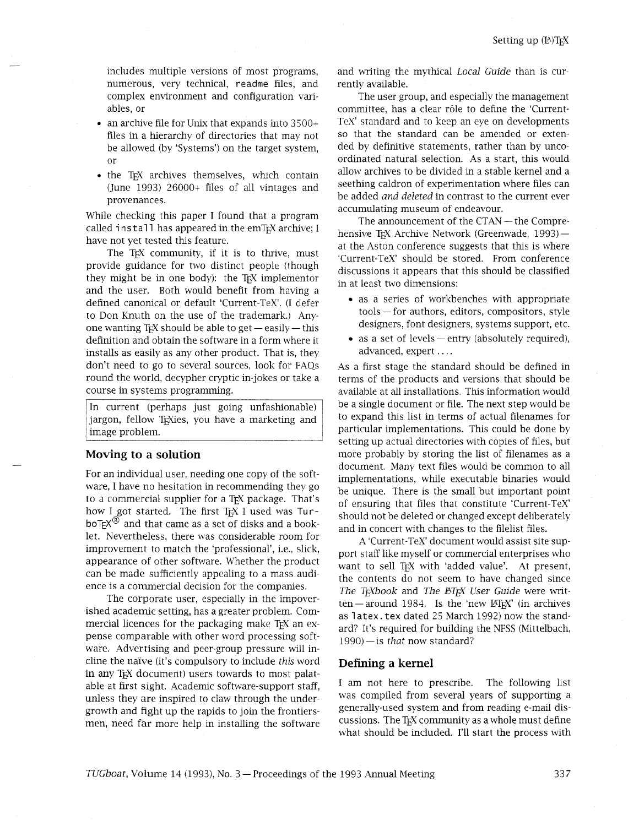includes multiple versions of most programs, numerous, very technical, readme files, and complex environment and configuration variables, or

- an archive file for Unix that expands into  $3500+$ files in a hierarchy of directories that may not be allowed (by 'Systems') on the target system, or
- the TEX archives themselves, which contain (June 1993) 26000+ files of all vintages and provenances.

While checking this paper I found that a program called install has appeared in the emT<sub>F</sub>X archive; I have not yet tested this feature.

The TEX community, if it is to thrive, must provide guidance for two distinct people (though they might be in one body): the  $TrX$  implementor and the user. Both would benefit from having a defined canonical or default 'Current-TeX'. (I defer to Don Knuth on the use of the trademark.) Any-<br>one wanting T<sub>E</sub>X should be able to get — easily — this definition and obtain the software in a form where it installs as easily as any other product. That is, they don't need to go to several sources, look for FAQs round the world, decypher cryptic in-jokes or take a course in systems programming.

In current (perhaps just going unfashionable) jargon, fellow T<sub>F</sub>Xies, you have a marketing and image problem.

### **Moving to a solution**

For an individual user, needing one copy of the software, I have no hesitation in recommending they go to a commercial supplier for a TFX package. That's how I got started. The first T<sub>E</sub>X I used was Turbo $TrX^{(8)}$  and that came as a set of disks and a booklet. Nevertheless, there was considerable room for improvement to match the 'professional', i.e., slick, appearance of other software. Whether the product can be made sufficiently appealing to a mass audience is a commercial decision for the companies.

The corporate user, especially in the impoverished academic setting, has a greater problem. Commercial licences for the packaging make TEX an expense comparable with other word processing software. Advertising and peer-group pressure will incline the na'ive (it's compulsory to include *this* word in any TEX document) users towards to most palatable at first sight. Academic software-support staff, unless they are inspired to claw through the undergrowth and fight up the rapids to join the frontiersmen, need far more help in installing the software and writing the mythical *Local Guide* than is currently available.

The user group, and especially the management committee, has a clear rôle to define the 'Current-TeX' standard and to keep an eye on developments so that the standard can be amended or extended by definitive statements, rather than by uncoordinated natural selection. As a start, this would allow archives to be divided in a stable kernel and a seething caldron of experimentation where files can be added *and deleted* in contrast to the current ever accumulating museum of endeavour.

The announcement of the CTAN - the Comprehensive T<sub>EX</sub> Archive Network (Greenwade, 1993)at the Aston conference suggests that this is where 'Current-TeX' should be stored. From conference discussions it appears that this should be classified in at least two dimensions:

- as a series of workbenches with appropriate tools for authors, editors, compositors, style designers, font designers, systems support, etc.
- $\bullet$  as a set of levels  $-$  entry (absolutely required), advanced, expert . . . .

As a first stage the standard should be defined in terms of the products and versions that should be available at all installations. This information would be a single document or file. The next step would be to expand this list in terms of actual filenames for particular implementations. This could be done by setting up actual directories with copies of files, but more probably by storing the list of filenames as a document. Many text files would be common to all implementations, while executable binaries would be unique. There is the small but important point of ensuring that files that constitute 'Current-TeX' should not be deleted or changed except deliberately and in concert with changes to the filelist files.

A 'Current-TeX' document would assist site support staff like myself or commercial enterprises who want to sell TEX with 'added value'. At present, the contents do not seem to have changed since *The TEXbook and The PTEX User Guide were writ* $ten$ -around 1984. Is the 'new  $L^2$ F<sub>K</sub>Y' (in archives as latex. tex dated 25 March 1992) now the standard? It's required for building the NFSS (Mittelbach, 1990) - is *that* now standard?

### **Defining a kernel**

I am not here to prescribe. The following list was compiled from several years of supporting a generally-used system and from reading e-mail discussions. The TEX community as a whole must define what should be included. I'll start the process with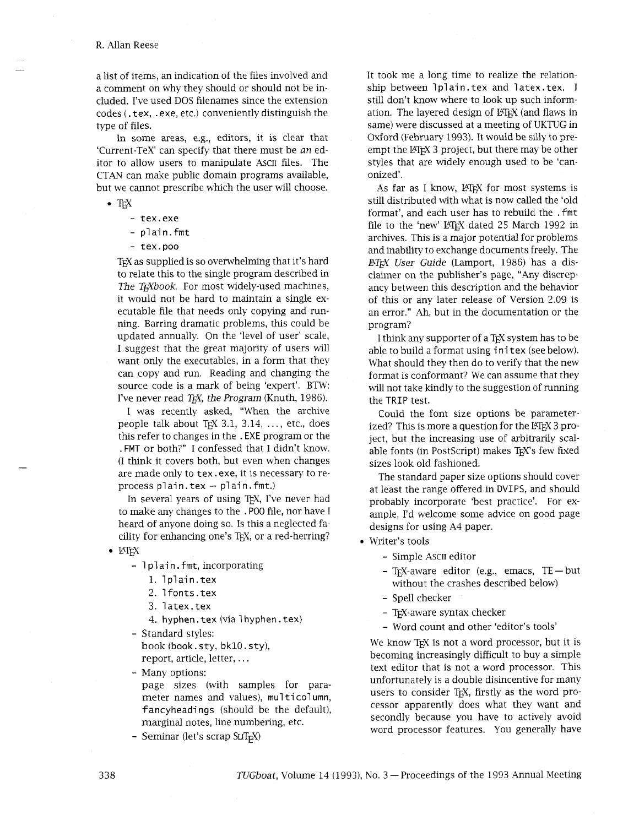a list of items, an indication of the files involved and a comment on why they should or should not be included. I've used DOS filenames since the extension codes ( . tex, . exe, etc.) conveniently distinguish the type of files.

In some areas, e.g., editors, it is clear that 'Current-TeX' can specify that there must be an editor to allow users to manipulate ASCII files. The CTAN can make public domain programs available, but we cannot prescribe which the user will choose.

 $\bullet$  T<sub>F</sub>X

- tex . exe
	- plain.fmt
	- tex. poo

TEX as supplied is so overwhelming that it's hard to relate this to the single program described in The T<sub>F</sub>Xbook. For most widely-used machines, it would not be hard to maintain a single executable file that needs only copying and running. Barring dramatic problems, this could be updated annually. On the 'level of user' scale, I suggest that the great majority of users will want only the executables, in a form that they can copy and run. Reading and changing the source code is a mark of being 'expert'. BTW: I've never read *T<sub>F</sub>X*, the *Program* (Knuth, 1986).

I was recently asked, "When the archive people talk about  $T_FX$  3.1, 3.14, ..., etc., does this refer to changes in the . EXE program or the . FMT or both?" I confessed that I didn't know. (I think it covers both, but even when changes are made only to tex. exe, it is necessary to reprocess plain. tex  $\rightarrow$  plain. fmt.)

In several years of using T<sub>E</sub>X, I've never had to make any changes to the . PO0 file, nor have I heard of anyone doing so. Is this a neglected facility for enhancing one's TEX, or a red-herring?

- $\bullet$  LAT<sub>F</sub>X
	- 1 plain. fmt, incorporating
		- 1. 1plain.tex
		- 2. lfonts. tex
		- 3. 1atex.tex
		- 4. hyphen.tex (via 1 hyphen.tex)
	- Standard styles: book (book. sty, bklO. sty), report, article, letter, . . .
	- Many options:
	- page sizes (with samples for parameter names and values), mu1 ti col umn, fancyheadings (should be the default), marginal notes, line numbering, etc.
	- $-$  Seminar (let's scrap SLI $T<sub>F</sub>X$ )

It took me a long time to realize the relationship between 1 plain. tex and latex. tex. I still don't know where to look up such information. The layered design of LATEX (and flaws in same) were discussed at a meeting of UKTUG in Oxford (February 1993). It would be silly to preempt the L<sup>AT</sup><sub>E</sub>X 3 project, but there may be other styles that are widely enough used to be 'canonized'.

As far as I know, LATEX for most systems is still distributed with what is now called the 'old format', and each user has to rebuild the . fmt file to the 'new' LATEX dated 25 March 1992 in archives. This is a major potential for problems and inability to exchange documents freely. The *ETEX User Guide* (Lamport, 1986) has a disclaimer on the publisher's page, "Any discrepancy between this description and the behavior of this or any later release of Version 2.09 is an error." Ah, but in the documentation or the program?

I think any supporter of a TEX system has to be able to build a format using i ni tex (see below). What should they then do to verify that the new format is conformant? We can assume that they will not take kindly to the suggestion of running the TRIP test.

Could the font size options be parameterized? This is more a question for the LAT<sub>F</sub>X 3 project, but the increasing use of arbitrarily scalable fonts (in PostScript) makes T<sub>E</sub>X's few fixed sizes look old fashioned.

The standard paper size options should cover at least the range offered in DVIPS, and should probably incorporate 'best practice'. For example, I'd welcome some advice on good page designs for using A4 paper.

- Writer's tools
	- Simple ASCII editor
	- T<sub>F</sub>X-aware editor (e.g., emacs,  $TE but$ without the crashes described below)
	- Spell checker
	- TEX-aware syntax checker
	- Word count and other 'editor's tools'

We know TEX is not a word processor, but it is becoming increasingly difficult to buy a simple text editor that is not a word processor. This unfortunately is a double disincentive for many users to consider TEX, firstly as the word processor apparently does what they want and secondly because you have to actively avoid word processor features. You generally have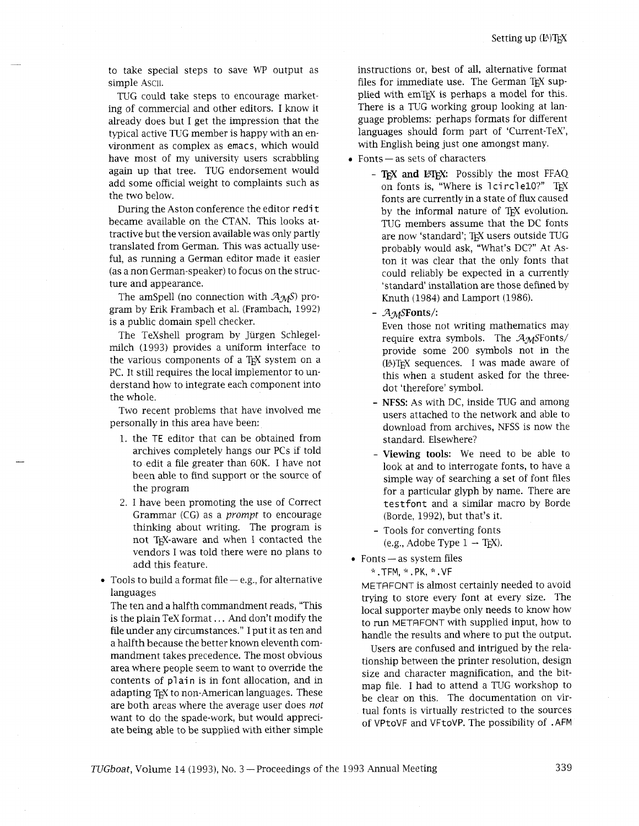to take special steps to save WP output as simple Ascii.

TUG could take steps to encourage marketing of commercial and other editors. I know it already does but I get the impression that the typical active TUG member is happy with an environment as complex as emacs, which would have most of my university users scrabbling again up that tree. TUG endorsement would add some official weight to complaints such as the two below.

During the Aston conference the editor redi t became available on the CTAN. This looks attractive but the version available was only partly translated from German. This was actually useful, as running a German editor made it easier (as anon German-speaker) to focus on the structure and appearance.

The amSpell (no connection with  $A_{\mathcal{M}}S$ ) program by Erik Frambach et al. (Frambach, 1992) is a public domain spell checker.

The TeXshell program by Jürgen Schlegelmilch (1993) provides a uniform interface to the various components of a T<sub>E</sub>X system on a PC. It still requires the local implementor to understand how to integrate each component into the whole.

Two recent problems that have involved me personally in this area have been:

- 1. the TE editor that can be obtained from archives completely hangs our PCs if told to edit a file greater than 60K. I have not been able to find support or the source of the program
- 2. I have been promoting the use of Correct Grammar (CG) as a *prompt* to encourage thinking about writing. The program is not TEX-aware and when I contacted the vendors I was told there were no plans to add this feature.
- $\bullet$  Tools to build a format file  $-$  e.g., for alternative languages

The ten and a halfth commandment reads, "This is the plain TeX format . . . And don't modify the file under any circumstances." I put it as ten and a halfth because the better known eleventh commandment takes precedence. The most obvious area where people seem to want to override the contents of plain is in font allocation, and in adapting TEX to non-American languages. These are both areas where the average user does *not*  want to do the spade-work, but would appreciate being able to be supplied with either simple instructions or, best of all, alternative format files for immediate use. The German TEX supplied with emTFX is perhaps a model for this. There is a TUG working group looking at language problems: perhaps formats for different languages should form part of 'Current-TeX', with English being just one amongst many.<br>Fonts — as sets of characters

- - **TEX and** LATEX: Possibly the most FFAQ on fonts is, "Where is 1 circle10?" TEX fonts are currently in a state of flux caused by the informal nature of TFX evolution. TUG members assume that the DC fonts are now 'standard'; TEX users outside TUG probably would ask, "What's DC?" At Aston it was clear that the only fonts that could reliably be expected in a currently 'standard' installation are those defined by Knuth (1984) and Lamport (1986).
	- $\mathcal{A}_{\mathcal{M}}$ SFonts/:

Even those not writing mathematics may require extra symbols. The  $A$ <sub>M</sub>SFonts/ provide some 200 symbols not in the (E)TEX sequences. I was made aware of this when a student asked for the threedot 'therefore' symbol.

- NFSS: As with DC, inside TUG and among users attached to the network and able to download from archives, NFSS is now the standard. Elsewhere?
- **Viewing tools:** We need to be able to look at and to interrogate fonts, to have a simple way of searching a set of font files for a particular glyph by name. There are testfont and a similar macro by Borde (Borde, 1992), but that's it.
- Tools for converting fonts (e.g., Adobe Type  $1 \rightarrow$  T<sub>F</sub>X).
- Fonts  $-$  as system files

.TFM, \* . PK, \* .VF

METAFONT is almost certainly needed to avoid trying to store every font at every size. The local supporter maybe only needs to know how to run METAFONT with supplied input, how to handle the results and where to put the output.

Users are confused and intrigued by the relationship between the printer resolution, design size and character magnification, and the bitmap file. I had to attend a TUG workshop to be clear on this. The documentation on virtual fonts is virtually restricted to the sources of VPtoVF and VFtoVP. The possibility of .AFM

*TUGboat, Volume 14 (1993), No. 3 – Proceedings of the 1993 Annual Meeting* 339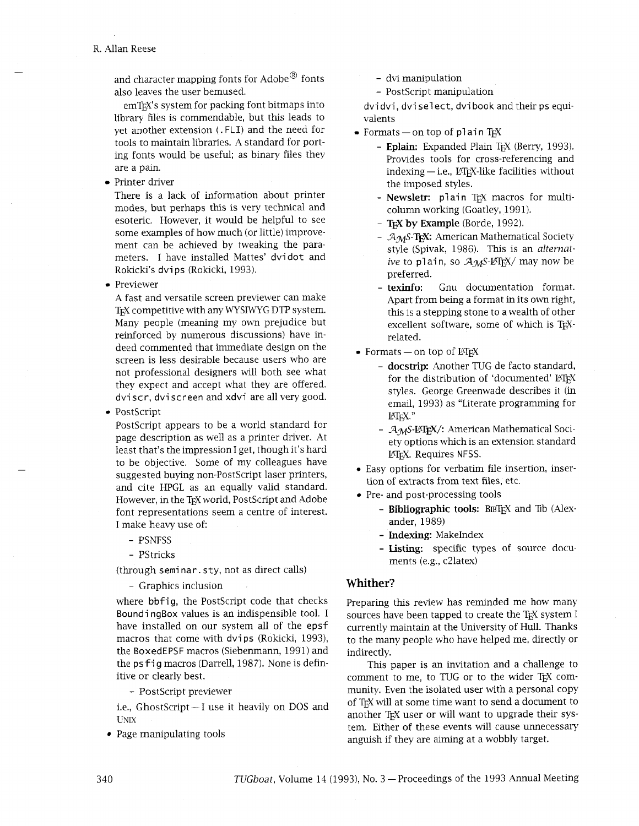and character mapping fonts for Adobe ${}^{\circledR}$  fonts also leaves the user bemused.

emT<sub>K</sub>'s system for packing font bitmaps into library files is commendable, but this leads to yet another extension (. FLI) and the need for tools to maintain libraries. A standard for porting fonts would be useful; as binary files they are a pain.

• Printer driver

There is a lack of information about printer modes, but perhaps this is very technical and esoteric. However, it would be helpful to see some examples of how much (or little) improvement can be achieved by tweaking the parameters. I have installed Mattes' dvi dot and Rokicki's dvips (Rokicki, 1993).

Previewer

A fast and versatile screen previewer can make TEX competitive with any WYSIWYG DTP system. Many people (meaning my own prejudice but reinforced by numerous discussions) have indeed commented that immediate design on the screen is less desirable because users who are not professional designers will both see what they expect and accept what they are offered. dvi scr, dvi screen and xdvi are all very good.

• PostScript

PostScript appears to be a world standard for page description as well as a printer driver. At least that's the impression I get, though it's hard to be objective. Some of my colleagues have suggested buying non-PostScript laser printers, and cite HPGL as an equally valid standard. However, in the TEX world, PostScript and Adobe font representations seem a centre of interest. I make heavy use of:

- PSNFSS
- PStricks

(through semi nar. sty, not as direct calls)

- Graphics inclusion

where bbfig, the PostScript code that checks Boundi ngBox values is an indispensible tool. I have installed on our system all of the epsf macros that come with dvips (Rokicki, 1993), the BoxedEPSF macros (Siebenmann, 1991) and the psfig macros (Darrell, 1987). None is definitive or clearly best.

- PostScript previewer

i.e., GhostScript - I use it heavily on DOS and UNIX

Page manipulating tools

- dvi manipulation
- PostScript manipulation

dvi dvi, dvi select, dvi book and their **ps** equivalents

- $\bullet$  Formats  $-$  on top of plain T<sub>F</sub>X
	- **Eplain.** Expanded Plain TEX (Berry, 1993). Provides tools for cross-referencing and  $indexing - i.e.,$   $MTx$ -like facilities without the imposed styles.
	- **Newsletr:** plain T<sub>EX</sub> macros for multicolumn working (Goatley, 1991).
	- **TEX by Example** (Borde, 1992).
	- $A_MS$ -T<sub>F</sub>X: American Mathematical Society style (Spivak, 1986). This is an alternative to plain, so  $A_{\text{MS}}$ -LAT<sub>EX</sub>/ may now be preferred.
	- **texinfo:** Gnu documentation format. Apart from being a format in its own right, this is a stepping stone to a wealth of other excellent software, some of which is TFXrelated.
- $\bullet$  Formats  $-$  on top of LATFX
	- **docstrip:** Another TUG de facto standard, for the distribution of 'documented' LATEX styles. George Greenwade describes it (in email, 1993) as "Literate programming for LAT<sub>F</sub>X."
	- $A$ <sub>M</sub>S-L<sup>A</sup>T<sub>E</sub>X/: American Mathematical Society options which is an extension standard LATEX. Requires NFSS.
- Easy options for verbatim file insertion, insertion of extracts from text files, etc.
- Pre- and post-processing tools
	- **Bibliographic tools:** BIBTFX and Tib (Alexander, 1989)
	- **Indexing:** MakeIndex
	- **Listing:** specific types of source documents (e.g., c2latex)

### **Whither?**

Preparing this review has reminded me how many sources have been tapped to create the TEX system I currently maintain at the University of Hull. Thanks to the many people who have helped me, directly or indirectly.

This paper is an invitation and a challenge to comment to me, to TUG or to the wider TEX community. Even the isolated user with a personal copy of TEX will at some time want to send a document to another TEX user or will want to upgrade their system. Either of these events will cause unnecessary anguish if they are aiming at a wobbly target.